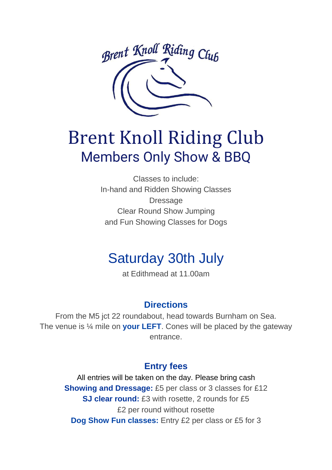

# Brent Knoll Riding Club Members Only Show & BBQ

Classes to include: In-hand and Ridden Showing Classes Dressage Clear Round Show Jumping and Fun Showing Classes for Dogs

## Saturday 30th July

at Edithmead at 11.00am

#### **Directions**

From the M5 jct 22 roundabout, head towards Burnham on Sea. The venue is ¼ mile on **your LEFT**. Cones will be placed by the gateway entrance.

#### **Entry fees**

All entries will be taken on the day. Please bring cash **Showing and Dressage:** £5 per class or 3 classes for £12 **SJ clear round:** £3 with rosette, 2 rounds for £5 £2 per round without rosette **Dog Show Fun classes:** Entry £2 per class or £5 for 3